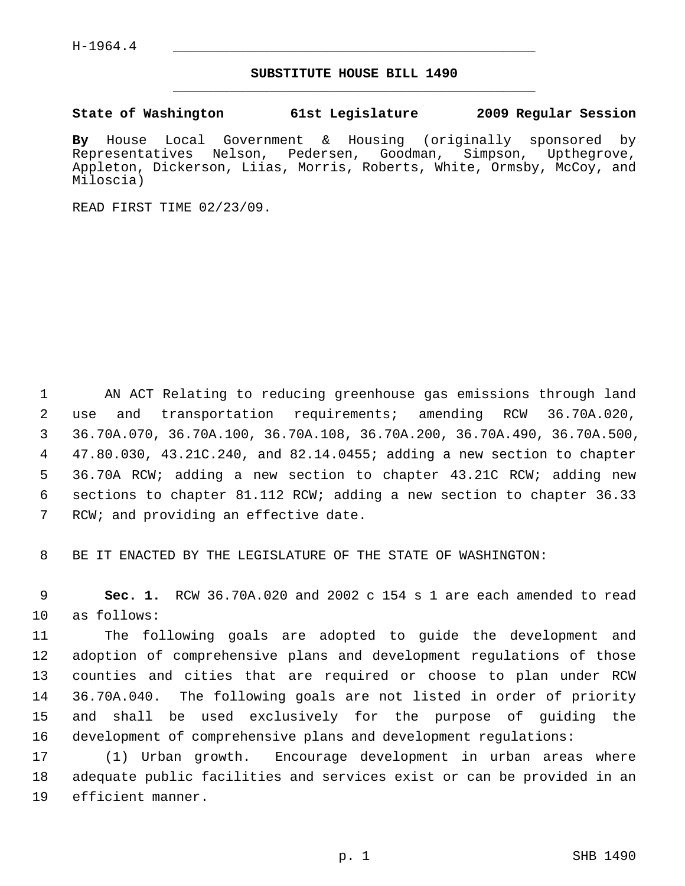## **SUBSTITUTE HOUSE BILL 1490** \_\_\_\_\_\_\_\_\_\_\_\_\_\_\_\_\_\_\_\_\_\_\_\_\_\_\_\_\_\_\_\_\_\_\_\_\_\_\_\_\_\_\_\_\_

## **State of Washington 61st Legislature 2009 Regular Session**

**By** House Local Government & Housing (originally sponsored by Nelson, Pedersen, Goodman, Appleton, Dickerson, Liias, Morris, Roberts, White, Ormsby, McCoy, and Miloscia)

READ FIRST TIME 02/23/09.

 1 AN ACT Relating to reducing greenhouse gas emissions through land 2 use and transportation requirements; amending RCW 36.70A.020, 3 36.70A.070, 36.70A.100, 36.70A.108, 36.70A.200, 36.70A.490, 36.70A.500, 4 47.80.030, 43.21C.240, and 82.14.0455; adding a new section to chapter 5 36.70A RCW; adding a new section to chapter 43.21C RCW; adding new 6 sections to chapter 81.112 RCW; adding a new section to chapter 36.33 7 RCW; and providing an effective date.

8 BE IT ENACTED BY THE LEGISLATURE OF THE STATE OF WASHINGTON:

 9 **Sec. 1.** RCW 36.70A.020 and 2002 c 154 s 1 are each amended to read 10 as follows:

11 The following goals are adopted to guide the development and 12 adoption of comprehensive plans and development regulations of those 13 counties and cities that are required or choose to plan under RCW 14 36.70A.040. The following goals are not listed in order of priority 15 and shall be used exclusively for the purpose of guiding the 16 development of comprehensive plans and development regulations:

17 (1) Urban growth. Encourage development in urban areas where 18 adequate public facilities and services exist or can be provided in an 19 efficient manner.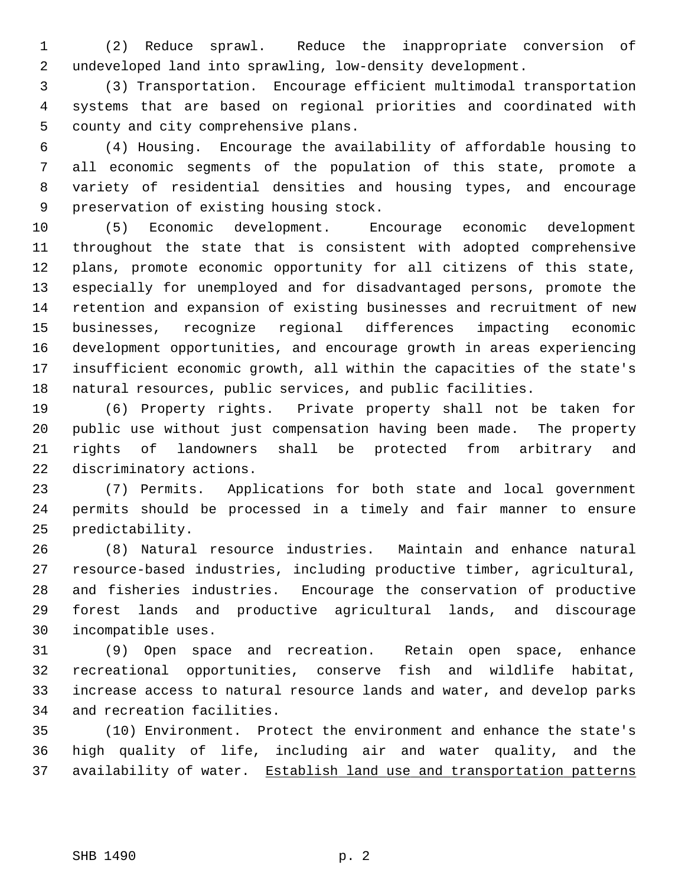1 (2) Reduce sprawl. Reduce the inappropriate conversion of 2 undeveloped land into sprawling, low-density development.

 3 (3) Transportation. Encourage efficient multimodal transportation 4 systems that are based on regional priorities and coordinated with 5 county and city comprehensive plans.

 6 (4) Housing. Encourage the availability of affordable housing to 7 all economic segments of the population of this state, promote a 8 variety of residential densities and housing types, and encourage 9 preservation of existing housing stock.

10 (5) Economic development. Encourage economic development 11 throughout the state that is consistent with adopted comprehensive 12 plans, promote economic opportunity for all citizens of this state, 13 especially for unemployed and for disadvantaged persons, promote the 14 retention and expansion of existing businesses and recruitment of new 15 businesses, recognize regional differences impacting economic 16 development opportunities, and encourage growth in areas experiencing 17 insufficient economic growth, all within the capacities of the state's 18 natural resources, public services, and public facilities.

19 (6) Property rights. Private property shall not be taken for 20 public use without just compensation having been made. The property 21 rights of landowners shall be protected from arbitrary and 22 discriminatory actions.

23 (7) Permits. Applications for both state and local government 24 permits should be processed in a timely and fair manner to ensure 25 predictability.

26 (8) Natural resource industries. Maintain and enhance natural 27 resource-based industries, including productive timber, agricultural, 28 and fisheries industries. Encourage the conservation of productive 29 forest lands and productive agricultural lands, and discourage 30 incompatible uses.

31 (9) Open space and recreation. Retain open space, enhance 32 recreational opportunities, conserve fish and wildlife habitat, 33 increase access to natural resource lands and water, and develop parks 34 and recreation facilities.

35 (10) Environment. Protect the environment and enhance the state's 36 high quality of life, including air and water quality, and the 37 availability of water. Establish land use and transportation patterns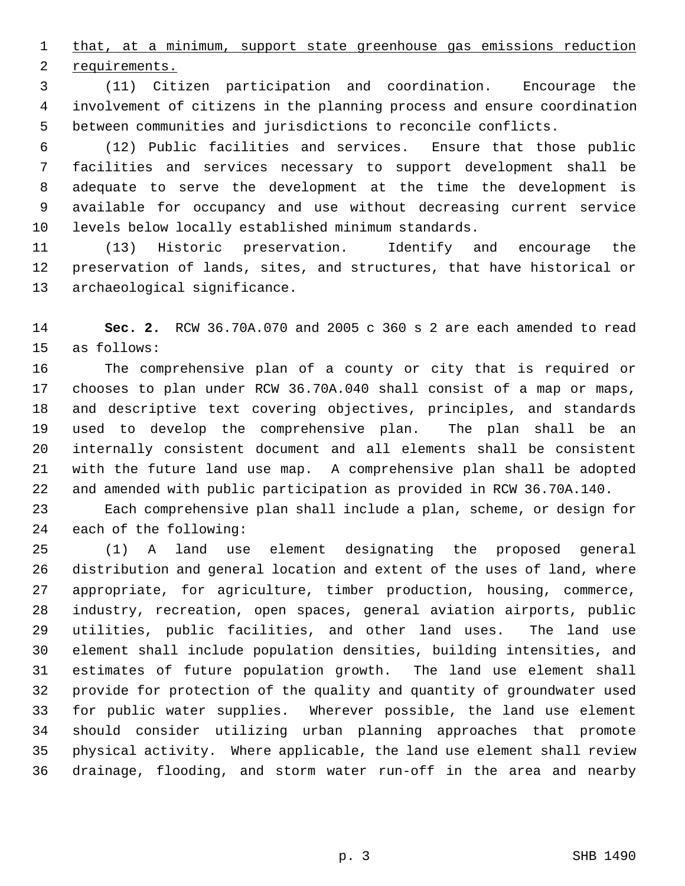1 that, at a minimum, support state greenhouse gas emissions reduction 2 requirements.

 3 (11) Citizen participation and coordination. Encourage the 4 involvement of citizens in the planning process and ensure coordination 5 between communities and jurisdictions to reconcile conflicts.

 6 (12) Public facilities and services. Ensure that those public 7 facilities and services necessary to support development shall be 8 adequate to serve the development at the time the development is 9 available for occupancy and use without decreasing current service 10 levels below locally established minimum standards.

11 (13) Historic preservation. Identify and encourage the 12 preservation of lands, sites, and structures, that have historical or 13 archaeological significance.

14 **Sec. 2.** RCW 36.70A.070 and 2005 c 360 s 2 are each amended to read 15 as follows:

16 The comprehensive plan of a county or city that is required or 17 chooses to plan under RCW 36.70A.040 shall consist of a map or maps, 18 and descriptive text covering objectives, principles, and standards 19 used to develop the comprehensive plan. The plan shall be an 20 internally consistent document and all elements shall be consistent 21 with the future land use map. A comprehensive plan shall be adopted 22 and amended with public participation as provided in RCW 36.70A.140.

23 Each comprehensive plan shall include a plan, scheme, or design for 24 each of the following:

25 (1) A land use element designating the proposed general 26 distribution and general location and extent of the uses of land, where 27 appropriate, for agriculture, timber production, housing, commerce, 28 industry, recreation, open spaces, general aviation airports, public 29 utilities, public facilities, and other land uses. The land use 30 element shall include population densities, building intensities, and 31 estimates of future population growth. The land use element shall 32 provide for protection of the quality and quantity of groundwater used 33 for public water supplies. Wherever possible, the land use element 34 should consider utilizing urban planning approaches that promote 35 physical activity. Where applicable, the land use element shall review 36 drainage, flooding, and storm water run-off in the area and nearby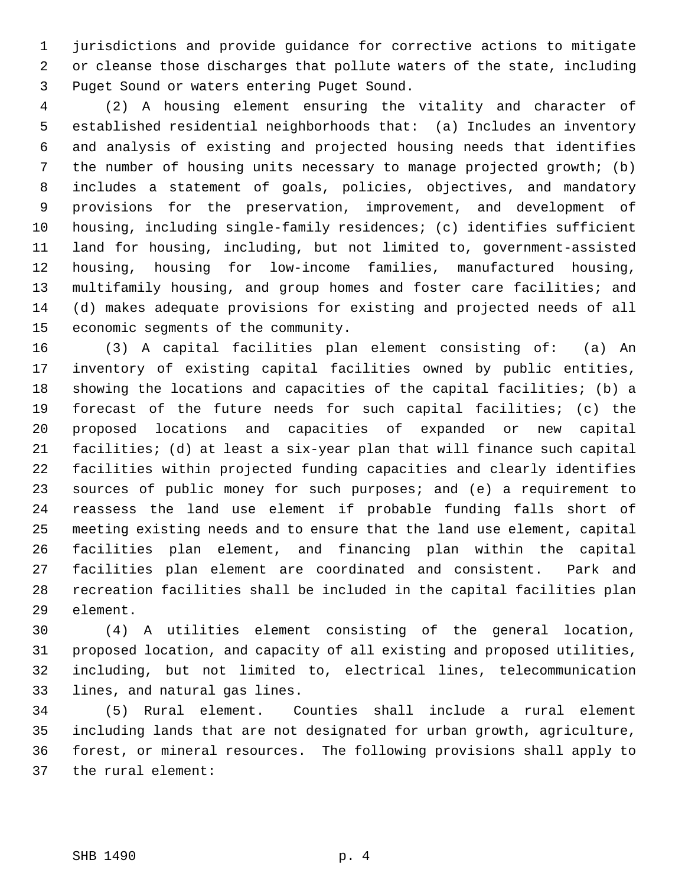1 jurisdictions and provide guidance for corrective actions to mitigate 2 or cleanse those discharges that pollute waters of the state, including 3 Puget Sound or waters entering Puget Sound.

 4 (2) A housing element ensuring the vitality and character of 5 established residential neighborhoods that: (a) Includes an inventory 6 and analysis of existing and projected housing needs that identifies 7 the number of housing units necessary to manage projected growth; (b) 8 includes a statement of goals, policies, objectives, and mandatory 9 provisions for the preservation, improvement, and development of 10 housing, including single-family residences; (c) identifies sufficient 11 land for housing, including, but not limited to, government-assisted 12 housing, housing for low-income families, manufactured housing, 13 multifamily housing, and group homes and foster care facilities; and 14 (d) makes adequate provisions for existing and projected needs of all 15 economic segments of the community.

16 (3) A capital facilities plan element consisting of: (a) An 17 inventory of existing capital facilities owned by public entities, 18 showing the locations and capacities of the capital facilities; (b) a 19 forecast of the future needs for such capital facilities; (c) the 20 proposed locations and capacities of expanded or new capital 21 facilities; (d) at least a six-year plan that will finance such capital 22 facilities within projected funding capacities and clearly identifies 23 sources of public money for such purposes; and (e) a requirement to 24 reassess the land use element if probable funding falls short of 25 meeting existing needs and to ensure that the land use element, capital 26 facilities plan element, and financing plan within the capital 27 facilities plan element are coordinated and consistent. Park and 28 recreation facilities shall be included in the capital facilities plan 29 element.

30 (4) A utilities element consisting of the general location, 31 proposed location, and capacity of all existing and proposed utilities, 32 including, but not limited to, electrical lines, telecommunication 33 lines, and natural gas lines.

34 (5) Rural element. Counties shall include a rural element 35 including lands that are not designated for urban growth, agriculture, 36 forest, or mineral resources. The following provisions shall apply to 37 the rural element: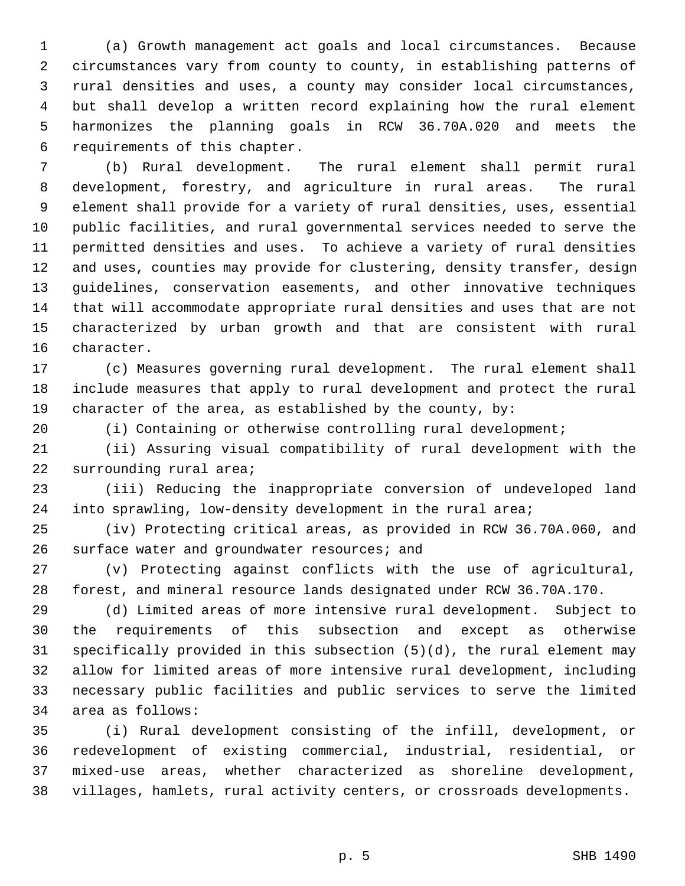1 (a) Growth management act goals and local circumstances. Because 2 circumstances vary from county to county, in establishing patterns of 3 rural densities and uses, a county may consider local circumstances, 4 but shall develop a written record explaining how the rural element 5 harmonizes the planning goals in RCW 36.70A.020 and meets the 6 requirements of this chapter.

 7 (b) Rural development. The rural element shall permit rural 8 development, forestry, and agriculture in rural areas. The rural 9 element shall provide for a variety of rural densities, uses, essential 10 public facilities, and rural governmental services needed to serve the 11 permitted densities and uses. To achieve a variety of rural densities 12 and uses, counties may provide for clustering, density transfer, design 13 guidelines, conservation easements, and other innovative techniques 14 that will accommodate appropriate rural densities and uses that are not 15 characterized by urban growth and that are consistent with rural 16 character.

17 (c) Measures governing rural development. The rural element shall 18 include measures that apply to rural development and protect the rural 19 character of the area, as established by the county, by:

20 (i) Containing or otherwise controlling rural development;

21 (ii) Assuring visual compatibility of rural development with the 22 surrounding rural area;

23 (iii) Reducing the inappropriate conversion of undeveloped land 24 into sprawling, low-density development in the rural area;

25 (iv) Protecting critical areas, as provided in RCW 36.70A.060, and 26 surface water and groundwater resources; and

27 (v) Protecting against conflicts with the use of agricultural, 28 forest, and mineral resource lands designated under RCW 36.70A.170.

29 (d) Limited areas of more intensive rural development. Subject to 30 the requirements of this subsection and except as otherwise 31 specifically provided in this subsection (5)(d), the rural element may 32 allow for limited areas of more intensive rural development, including 33 necessary public facilities and public services to serve the limited 34 area as follows:

35 (i) Rural development consisting of the infill, development, or 36 redevelopment of existing commercial, industrial, residential, or 37 mixed-use areas, whether characterized as shoreline development, 38 villages, hamlets, rural activity centers, or crossroads developments.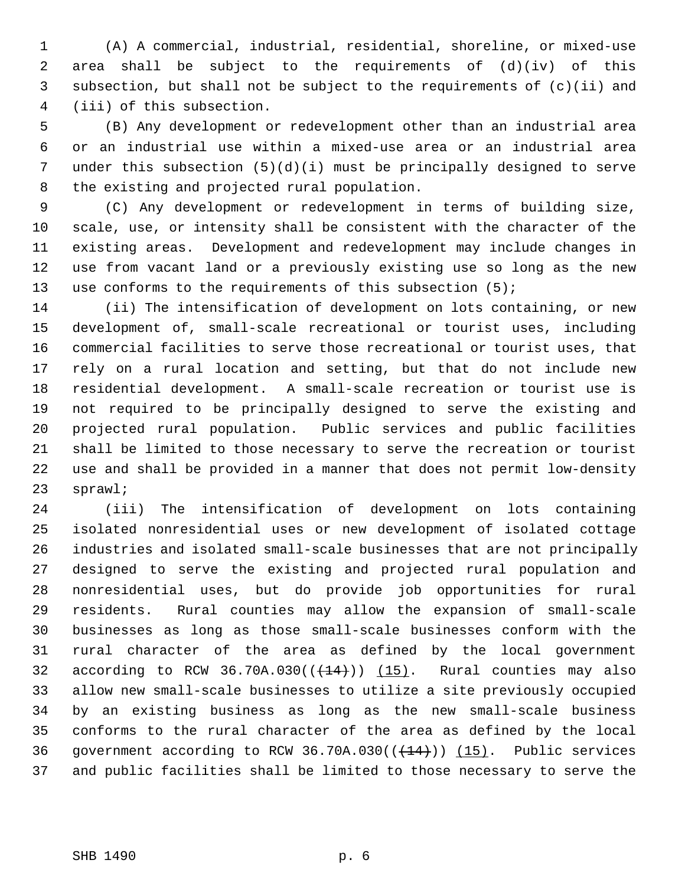1 (A) A commercial, industrial, residential, shoreline, or mixed-use 2 area shall be subject to the requirements of (d)(iv) of this 3 subsection, but shall not be subject to the requirements of (c)(ii) and 4 (iii) of this subsection.

 5 (B) Any development or redevelopment other than an industrial area 6 or an industrial use within a mixed-use area or an industrial area 7 under this subsection (5)(d)(i) must be principally designed to serve 8 the existing and projected rural population.

 9 (C) Any development or redevelopment in terms of building size, 10 scale, use, or intensity shall be consistent with the character of the 11 existing areas. Development and redevelopment may include changes in 12 use from vacant land or a previously existing use so long as the new 13 use conforms to the requirements of this subsection  $(5)$ ;

14 (ii) The intensification of development on lots containing, or new 15 development of, small-scale recreational or tourist uses, including 16 commercial facilities to serve those recreational or tourist uses, that 17 rely on a rural location and setting, but that do not include new 18 residential development. A small-scale recreation or tourist use is 19 not required to be principally designed to serve the existing and 20 projected rural population. Public services and public facilities 21 shall be limited to those necessary to serve the recreation or tourist 22 use and shall be provided in a manner that does not permit low-density 23 sprawl;

24 (iii) The intensification of development on lots containing 25 isolated nonresidential uses or new development of isolated cottage 26 industries and isolated small-scale businesses that are not principally 27 designed to serve the existing and projected rural population and 28 nonresidential uses, but do provide job opportunities for rural 29 residents. Rural counties may allow the expansion of small-scale 30 businesses as long as those small-scale businesses conform with the 31 rural character of the area as defined by the local government 32 according to RCW 36.70A.030( $(\frac{14}{1})$ ) (15). Rural counties may also 33 allow new small-scale businesses to utilize a site previously occupied 34 by an existing business as long as the new small-scale business 35 conforms to the rural character of the area as defined by the local 36 government according to RCW 36.70A.030( $(\frac{14}{1})$ ) (15). Public services 37 and public facilities shall be limited to those necessary to serve the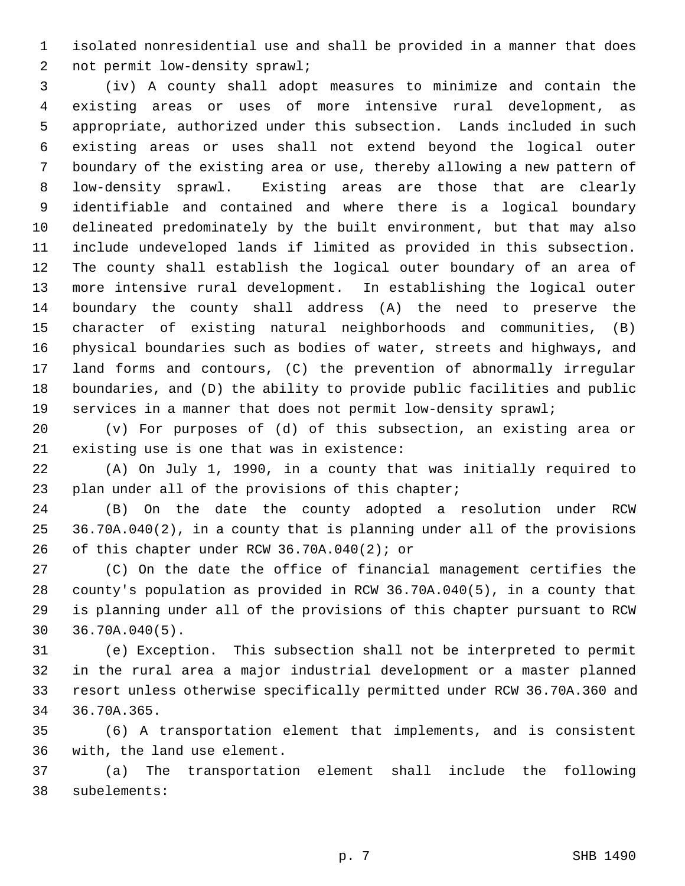1 isolated nonresidential use and shall be provided in a manner that does 2 not permit low-density sprawl;

 3 (iv) A county shall adopt measures to minimize and contain the 4 existing areas or uses of more intensive rural development, as 5 appropriate, authorized under this subsection. Lands included in such 6 existing areas or uses shall not extend beyond the logical outer 7 boundary of the existing area or use, thereby allowing a new pattern of 8 low-density sprawl. Existing areas are those that are clearly 9 identifiable and contained and where there is a logical boundary 10 delineated predominately by the built environment, but that may also 11 include undeveloped lands if limited as provided in this subsection. 12 The county shall establish the logical outer boundary of an area of 13 more intensive rural development. In establishing the logical outer 14 boundary the county shall address (A) the need to preserve the 15 character of existing natural neighborhoods and communities, (B) 16 physical boundaries such as bodies of water, streets and highways, and 17 land forms and contours, (C) the prevention of abnormally irregular 18 boundaries, and (D) the ability to provide public facilities and public 19 services in a manner that does not permit low-density sprawl;

20 (v) For purposes of (d) of this subsection, an existing area or 21 existing use is one that was in existence:

22 (A) On July 1, 1990, in a county that was initially required to 23 plan under all of the provisions of this chapter;

24 (B) On the date the county adopted a resolution under RCW 25 36.70A.040(2), in a county that is planning under all of the provisions 26 of this chapter under RCW 36.70A.040(2); or

27 (C) On the date the office of financial management certifies the 28 county's population as provided in RCW 36.70A.040(5), in a county that 29 is planning under all of the provisions of this chapter pursuant to RCW 30 36.70A.040(5).

31 (e) Exception. This subsection shall not be interpreted to permit 32 in the rural area a major industrial development or a master planned 33 resort unless otherwise specifically permitted under RCW 36.70A.360 and 34 36.70A.365.

35 (6) A transportation element that implements, and is consistent 36 with, the land use element.

37 (a) The transportation element shall include the following 38 subelements: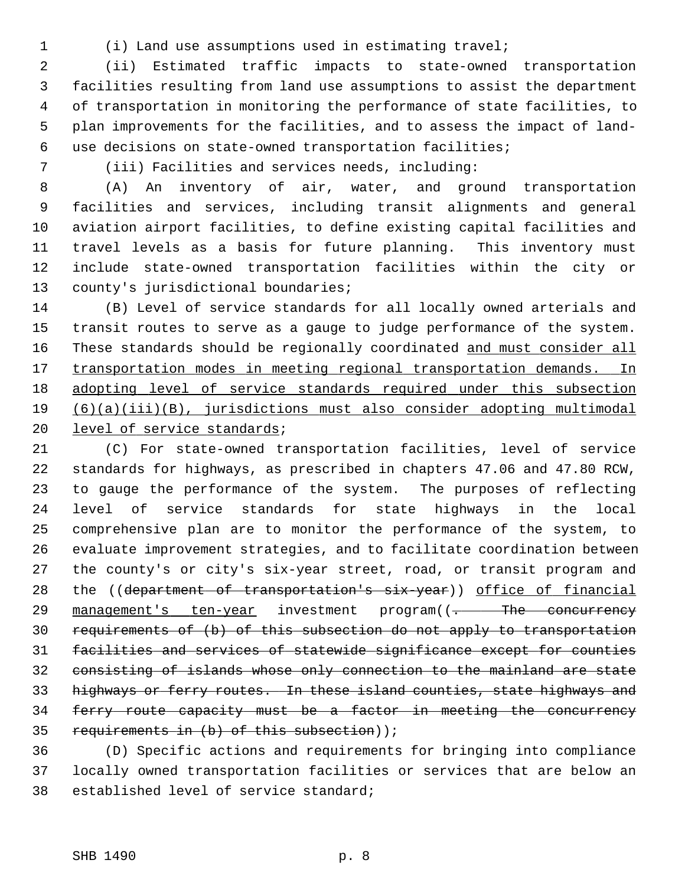1 (i) Land use assumptions used in estimating travel;

 2 (ii) Estimated traffic impacts to state-owned transportation 3 facilities resulting from land use assumptions to assist the department 4 of transportation in monitoring the performance of state facilities, to 5 plan improvements for the facilities, and to assess the impact of land- 6 use decisions on state-owned transportation facilities;

7 (iii) Facilities and services needs, including:

 8 (A) An inventory of air, water, and ground transportation 9 facilities and services, including transit alignments and general 10 aviation airport facilities, to define existing capital facilities and 11 travel levels as a basis for future planning. This inventory must 12 include state-owned transportation facilities within the city or 13 county's jurisdictional boundaries;

14 (B) Level of service standards for all locally owned arterials and 15 transit routes to serve as a gauge to judge performance of the system. 16 These standards should be regionally coordinated and must consider all 17 transportation modes in meeting regional transportation demands. In 18 adopting level of service standards required under this subsection 19 (6)(a)(iii)(B), jurisdictions must also consider adopting multimodal 20 level of service standards;

21 (C) For state-owned transportation facilities, level of service 22 standards for highways, as prescribed in chapters 47.06 and 47.80 RCW, 23 to gauge the performance of the system. The purposes of reflecting 24 level of service standards for state highways in the local 25 comprehensive plan are to monitor the performance of the system, to 26 evaluate improvement strategies, and to facilitate coordination between 27 the county's or city's six-year street, road, or transit program and 28 the ((department of transportation's six-year)) office of financial 29 management's ten-year investment program((<del>. The concurrency</del> 30 requirements of (b) of this subsection do not apply to transportation 31 facilities and services of statewide significance except for counties 32 consisting of islands whose only connection to the mainland are state 33 highways or ferry routes. In these island counties, state highways and 34 ferry route capacity must be a factor in meeting the concurrency 35 requirements in (b) of this subsection));

36 (D) Specific actions and requirements for bringing into compliance 37 locally owned transportation facilities or services that are below an 38 established level of service standard;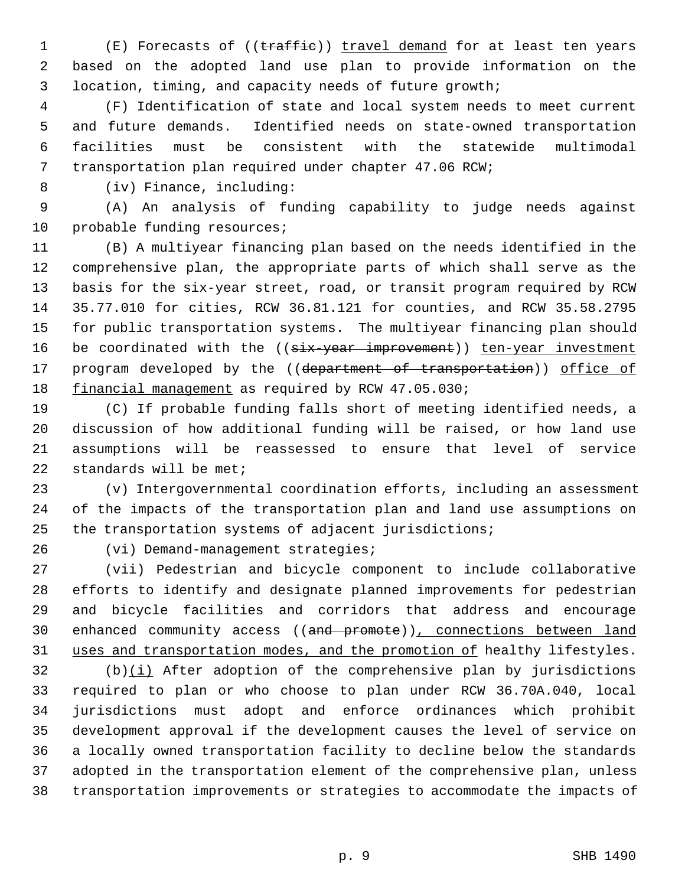1 (E) Forecasts of ((traffic)) travel demand for at least ten years 2 based on the adopted land use plan to provide information on the 3 location, timing, and capacity needs of future growth;

 4 (F) Identification of state and local system needs to meet current 5 and future demands. Identified needs on state-owned transportation 6 facilities must be consistent with the statewide multimodal 7 transportation plan required under chapter 47.06 RCW;

8 (iv) Finance, including:

 9 (A) An analysis of funding capability to judge needs against 10 probable funding resources;

11 (B) A multiyear financing plan based on the needs identified in the 12 comprehensive plan, the appropriate parts of which shall serve as the 13 basis for the six-year street, road, or transit program required by RCW 14 35.77.010 for cities, RCW 36.81.121 for counties, and RCW 35.58.2795 15 for public transportation systems. The multiyear financing plan should 16 be coordinated with the ((six-year improvement)) ten-year investment 17 program developed by the ((department of transportation)) office of 18 financial management as required by RCW 47.05.030;

19 (C) If probable funding falls short of meeting identified needs, a 20 discussion of how additional funding will be raised, or how land use 21 assumptions will be reassessed to ensure that level of service 22 standards will be met;

23 (v) Intergovernmental coordination efforts, including an assessment 24 of the impacts of the transportation plan and land use assumptions on 25 the transportation systems of adjacent jurisdictions;

26 (vi) Demand-management strategies;

27 (vii) Pedestrian and bicycle component to include collaborative 28 efforts to identify and designate planned improvements for pedestrian 29 and bicycle facilities and corridors that address and encourage 30 enhanced community access ((and promote)), connections between land 31 uses and transportation modes, and the promotion of healthy lifestyles.

32 (b)(i) After adoption of the comprehensive plan by jurisdictions 33 required to plan or who choose to plan under RCW 36.70A.040, local 34 jurisdictions must adopt and enforce ordinances which prohibit 35 development approval if the development causes the level of service on 36 a locally owned transportation facility to decline below the standards 37 adopted in the transportation element of the comprehensive plan, unless 38 transportation improvements or strategies to accommodate the impacts of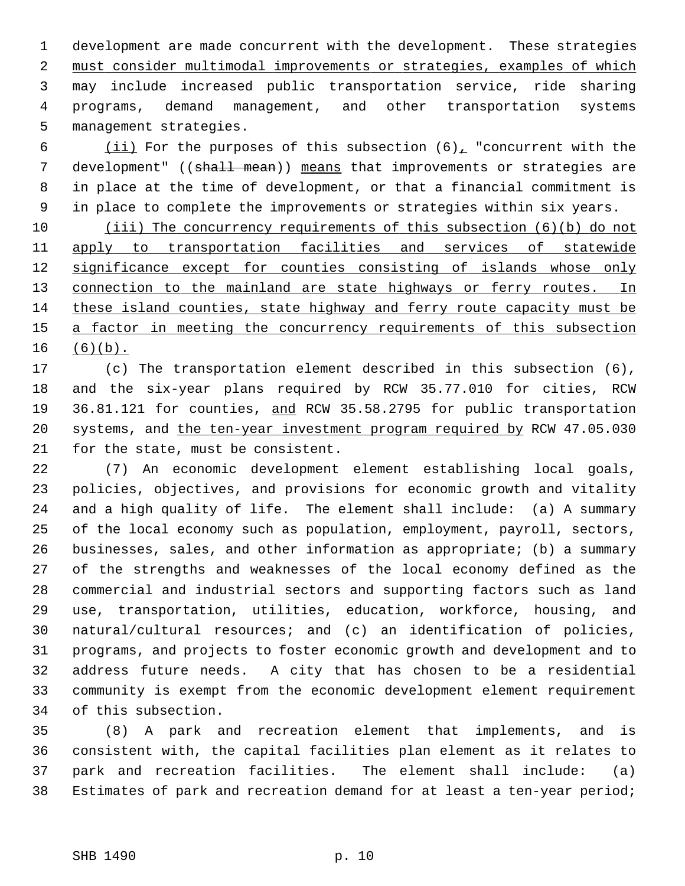1 development are made concurrent with the development. These strategies 2 must consider multimodal improvements or strategies, examples of which 3 may include increased public transportation service, ride sharing 4 programs, demand management, and other transportation systems 5 management strategies.

6 (ii) For the purposes of this subsection  $(6)_L$  "concurrent with the 7 development" ((shall mean)) means that improvements or strategies are 8 in place at the time of development, or that a financial commitment is 9 in place to complete the improvements or strategies within six years.

 (iii) The concurrency requirements of this subsection (6)(b) do not apply to transportation facilities and services of statewide significance except for counties consisting of islands whose only 13 connection to the mainland are state highways or ferry routes. In these island counties, state highway and ferry route capacity must be a factor in meeting the concurrency requirements of this subsection 16 (6)(b).

17 (c) The transportation element described in this subsection (6), 18 and the six-year plans required by RCW 35.77.010 for cities, RCW 19 36.81.121 for counties, and RCW 35.58.2795 for public transportation 20 systems, and the ten-year investment program required by RCW 47.05.030 21 for the state, must be consistent.

22 (7) An economic development element establishing local goals, 23 policies, objectives, and provisions for economic growth and vitality 24 and a high quality of life. The element shall include: (a) A summary 25 of the local economy such as population, employment, payroll, sectors, 26 businesses, sales, and other information as appropriate; (b) a summary 27 of the strengths and weaknesses of the local economy defined as the 28 commercial and industrial sectors and supporting factors such as land 29 use, transportation, utilities, education, workforce, housing, and 30 natural/cultural resources; and (c) an identification of policies, 31 programs, and projects to foster economic growth and development and to 32 address future needs. A city that has chosen to be a residential 33 community is exempt from the economic development element requirement 34 of this subsection.

35 (8) A park and recreation element that implements, and is 36 consistent with, the capital facilities plan element as it relates to 37 park and recreation facilities. The element shall include: (a) 38 Estimates of park and recreation demand for at least a ten-year period;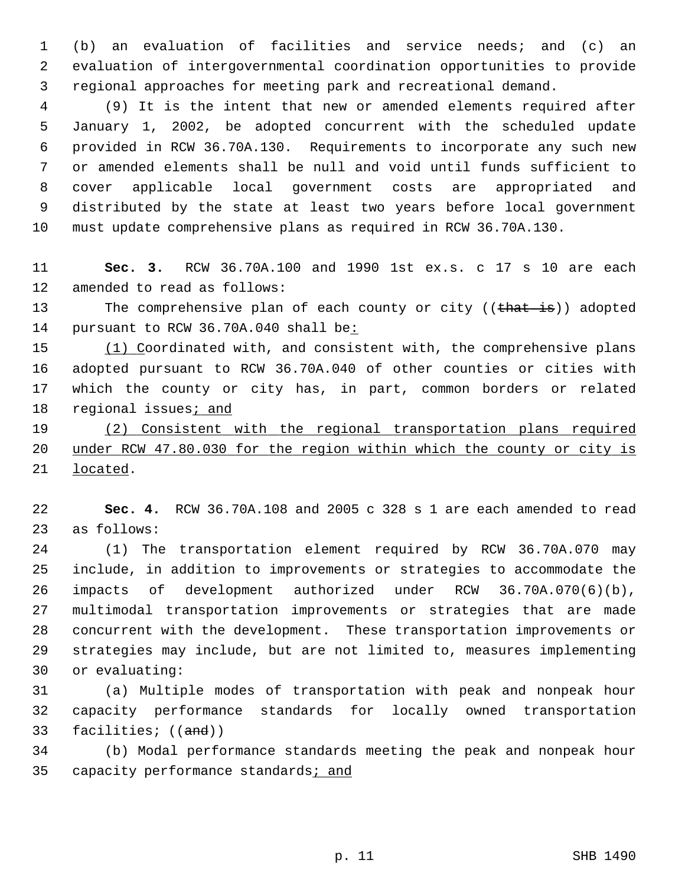1 (b) an evaluation of facilities and service needs; and (c) an 2 evaluation of intergovernmental coordination opportunities to provide 3 regional approaches for meeting park and recreational demand.

 4 (9) It is the intent that new or amended elements required after 5 January 1, 2002, be adopted concurrent with the scheduled update 6 provided in RCW 36.70A.130. Requirements to incorporate any such new 7 or amended elements shall be null and void until funds sufficient to 8 cover applicable local government costs are appropriated and 9 distributed by the state at least two years before local government 10 must update comprehensive plans as required in RCW 36.70A.130.

11 **Sec. 3.** RCW 36.70A.100 and 1990 1st ex.s. c 17 s 10 are each 12 amended to read as follows:

13 The comprehensive plan of each county or city ((that is)) adopted 14 pursuant to RCW 36.70A.040 shall be:

15 (1) Coordinated with, and consistent with, the comprehensive plans 16 adopted pursuant to RCW 36.70A.040 of other counties or cities with 17 which the county or city has, in part, common borders or related 18 regional issues; and

19 (2) Consistent with the regional transportation plans required 20 under RCW 47.80.030 for the region within which the county or city is 21 located.

22 **Sec. 4.** RCW 36.70A.108 and 2005 c 328 s 1 are each amended to read 23 as follows:

24 (1) The transportation element required by RCW 36.70A.070 may 25 include, in addition to improvements or strategies to accommodate the 26 impacts of development authorized under RCW 36.70A.070(6)(b), 27 multimodal transportation improvements or strategies that are made 28 concurrent with the development. These transportation improvements or 29 strategies may include, but are not limited to, measures implementing 30 or evaluating:

31 (a) Multiple modes of transportation with peak and nonpeak hour 32 capacity performance standards for locally owned transportation 33 facilities; ((and))

34 (b) Modal performance standards meeting the peak and nonpeak hour 35 capacity performance standards; and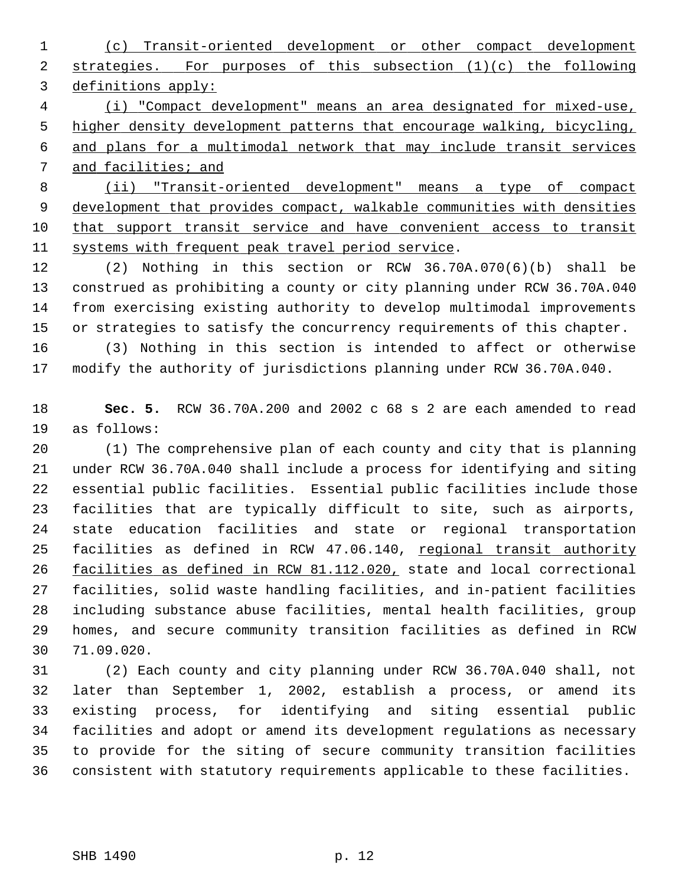(c) Transit-oriented development or other compact development strategies. For purposes of this subsection (1)(c) the following definitions apply: (i) "Compact development" means an area designated for mixed-use,

 5 higher density development patterns that encourage walking, bicycling, 6 and plans for a multimodal network that may include transit services 7 and facilities; and

 (ii) "Transit-oriented development" means a type of compact 9 development that provides compact, walkable communities with densities that support transit service and have convenient access to transit systems with frequent peak travel period service.

12 (2) Nothing in this section or RCW 36.70A.070(6)(b) shall be 13 construed as prohibiting a county or city planning under RCW 36.70A.040 14 from exercising existing authority to develop multimodal improvements 15 or strategies to satisfy the concurrency requirements of this chapter.

16 (3) Nothing in this section is intended to affect or otherwise 17 modify the authority of jurisdictions planning under RCW 36.70A.040.

18 **Sec. 5.** RCW 36.70A.200 and 2002 c 68 s 2 are each amended to read 19 as follows:

20 (1) The comprehensive plan of each county and city that is planning 21 under RCW 36.70A.040 shall include a process for identifying and siting 22 essential public facilities. Essential public facilities include those 23 facilities that are typically difficult to site, such as airports, 24 state education facilities and state or regional transportation 25 facilities as defined in RCW 47.06.140, regional transit authority 26 facilities as defined in RCW 81.112.020, state and local correctional 27 facilities, solid waste handling facilities, and in-patient facilities 28 including substance abuse facilities, mental health facilities, group 29 homes, and secure community transition facilities as defined in RCW 30 71.09.020.

31 (2) Each county and city planning under RCW 36.70A.040 shall, not 32 later than September 1, 2002, establish a process, or amend its 33 existing process, for identifying and siting essential public 34 facilities and adopt or amend its development regulations as necessary 35 to provide for the siting of secure community transition facilities 36 consistent with statutory requirements applicable to these facilities.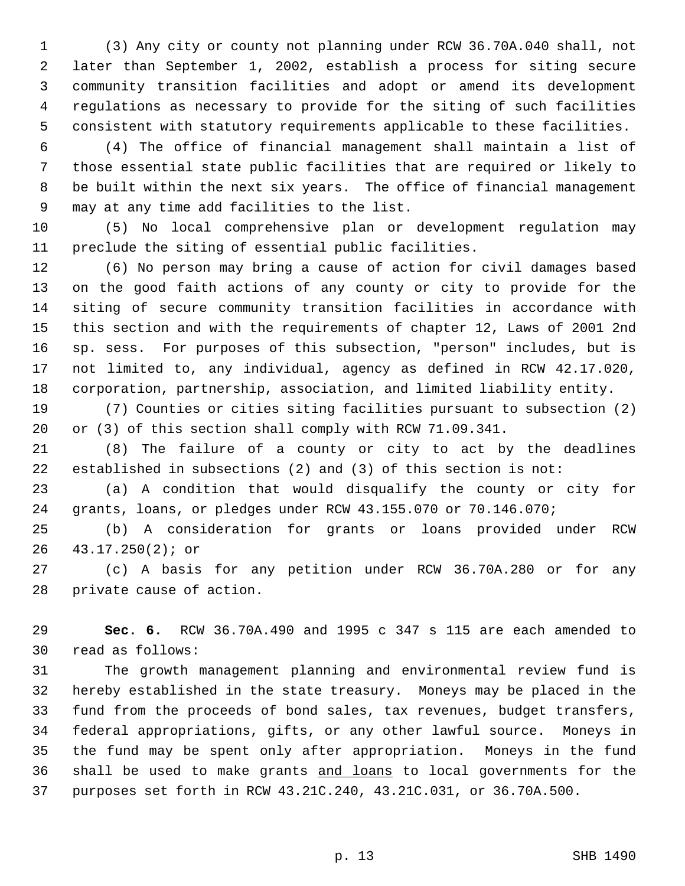1 (3) Any city or county not planning under RCW 36.70A.040 shall, not 2 later than September 1, 2002, establish a process for siting secure 3 community transition facilities and adopt or amend its development 4 regulations as necessary to provide for the siting of such facilities 5 consistent with statutory requirements applicable to these facilities.

 6 (4) The office of financial management shall maintain a list of 7 those essential state public facilities that are required or likely to 8 be built within the next six years. The office of financial management 9 may at any time add facilities to the list.

10 (5) No local comprehensive plan or development regulation may 11 preclude the siting of essential public facilities.

12 (6) No person may bring a cause of action for civil damages based 13 on the good faith actions of any county or city to provide for the 14 siting of secure community transition facilities in accordance with 15 this section and with the requirements of chapter 12, Laws of 2001 2nd 16 sp. sess. For purposes of this subsection, "person" includes, but is 17 not limited to, any individual, agency as defined in RCW 42.17.020, 18 corporation, partnership, association, and limited liability entity.

19 (7) Counties or cities siting facilities pursuant to subsection (2) 20 or (3) of this section shall comply with RCW 71.09.341.

21 (8) The failure of a county or city to act by the deadlines 22 established in subsections (2) and (3) of this section is not:

23 (a) A condition that would disqualify the county or city for 24 grants, loans, or pledges under RCW 43.155.070 or 70.146.070;

25 (b) A consideration for grants or loans provided under RCW 26 43.17.250(2); or

27 (c) A basis for any petition under RCW 36.70A.280 or for any 28 private cause of action.

29 **Sec. 6.** RCW 36.70A.490 and 1995 c 347 s 115 are each amended to 30 read as follows:

31 The growth management planning and environmental review fund is 32 hereby established in the state treasury. Moneys may be placed in the 33 fund from the proceeds of bond sales, tax revenues, budget transfers, 34 federal appropriations, gifts, or any other lawful source. Moneys in 35 the fund may be spent only after appropriation. Moneys in the fund 36 shall be used to make grants and loans to local governments for the 37 purposes set forth in RCW 43.21C.240, 43.21C.031, or 36.70A.500.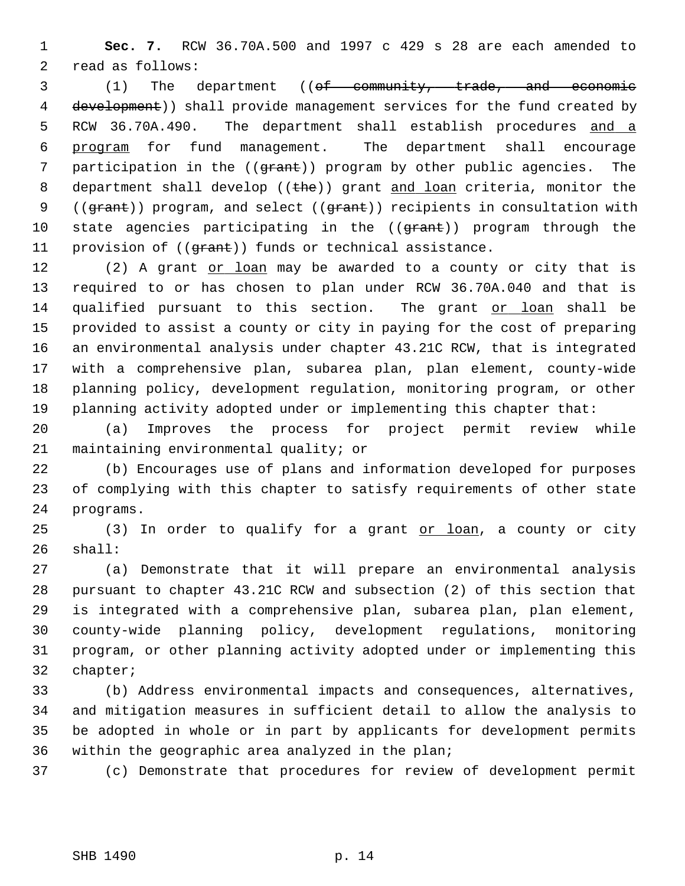1 **Sec. 7.** RCW 36.70A.500 and 1997 c 429 s 28 are each amended to 2 read as follows:

 3 (1) The department ((of community, trade, and economic 4 development)) shall provide management services for the fund created by 5 RCW 36.70A.490. The department shall establish procedures and a 6 program for fund management. The department shall encourage 7 participation in the (( $\frac{1}{2}$ ) program by other public agencies. The 8 department shall develop  $((the)$  grant and loan criteria, monitor the 9 ((grant)) program, and select ((grant)) recipients in consultation with 10 state agencies participating in the ((grant)) program through the 11 provision of ((grant)) funds or technical assistance.

12 (2) A grant or loan may be awarded to a county or city that is 13 required to or has chosen to plan under RCW 36.70A.040 and that is 14 qualified pursuant to this section. The grant or loan shall be 15 provided to assist a county or city in paying for the cost of preparing 16 an environmental analysis under chapter 43.21C RCW, that is integrated 17 with a comprehensive plan, subarea plan, plan element, county-wide 18 planning policy, development regulation, monitoring program, or other 19 planning activity adopted under or implementing this chapter that:

20 (a) Improves the process for project permit review while 21 maintaining environmental quality; or

22 (b) Encourages use of plans and information developed for purposes 23 of complying with this chapter to satisfy requirements of other state 24 programs.

25 (3) In order to qualify for a grant or loan, a county or city 26 shall:

27 (a) Demonstrate that it will prepare an environmental analysis 28 pursuant to chapter 43.21C RCW and subsection (2) of this section that 29 is integrated with a comprehensive plan, subarea plan, plan element, 30 county-wide planning policy, development regulations, monitoring 31 program, or other planning activity adopted under or implementing this 32 chapter;

33 (b) Address environmental impacts and consequences, alternatives, 34 and mitigation measures in sufficient detail to allow the analysis to 35 be adopted in whole or in part by applicants for development permits 36 within the geographic area analyzed in the plan;

37 (c) Demonstrate that procedures for review of development permit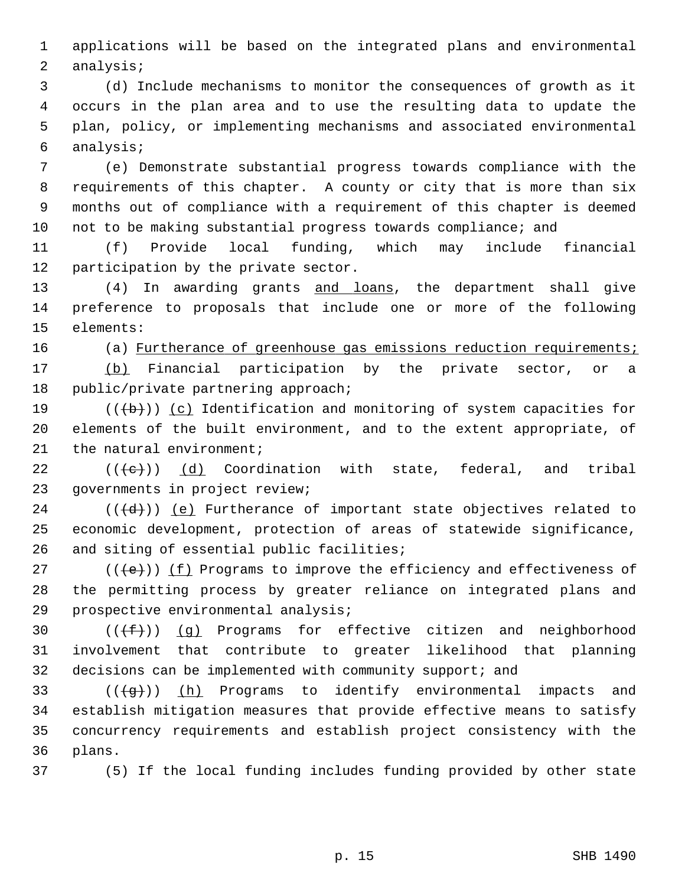1 applications will be based on the integrated plans and environmental 2 analysis;

 3 (d) Include mechanisms to monitor the consequences of growth as it 4 occurs in the plan area and to use the resulting data to update the 5 plan, policy, or implementing mechanisms and associated environmental 6 analysis;

 7 (e) Demonstrate substantial progress towards compliance with the 8 requirements of this chapter. A county or city that is more than six 9 months out of compliance with a requirement of this chapter is deemed 10 not to be making substantial progress towards compliance; and

11 (f) Provide local funding, which may include financial 12 participation by the private sector.

13 (4) In awarding grants and loans, the department shall give 14 preference to proposals that include one or more of the following 15 elements:

16 (a) Furtherance of greenhouse gas emissions reduction requirements;

17 (b) Financial participation by the private sector, or a 18 public/private partnering approach;

19  $((+b))$  (c) Identification and monitoring of system capacities for 20 elements of the built environment, and to the extent appropriate, of 21 the natural environment;

22  $((\{e\})$  (d) Coordination with state, federal, and tribal 23 governments in project review;

24  $((\{d\})$  (e) Furtherance of important state objectives related to 25 economic development, protection of areas of statewide significance, 26 and siting of essential public facilities;

27 ( $(\langle e \rangle)$ ) (f) Programs to improve the efficiency and effectiveness of 28 the permitting process by greater reliance on integrated plans and 29 prospective environmental analysis;

30  $((\text{#}))$  (g) Programs for effective citizen and neighborhood 31 involvement that contribute to greater likelihood that planning 32 decisions can be implemented with community support; and

33 ( $(\overline{+q})$ ) (h) Programs to identify environmental impacts and 34 establish mitigation measures that provide effective means to satisfy 35 concurrency requirements and establish project consistency with the 36 plans.

37 (5) If the local funding includes funding provided by other state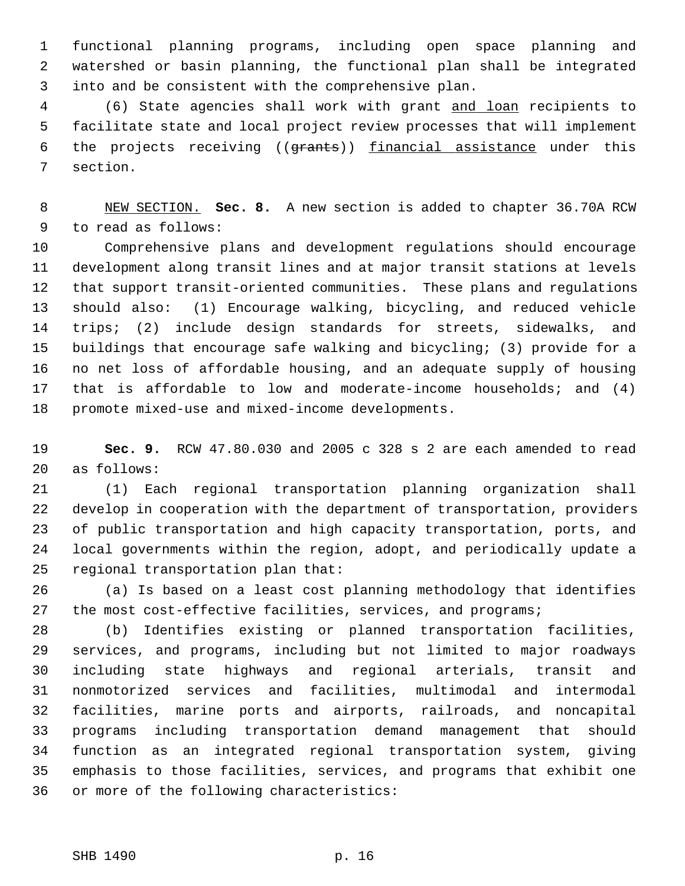1 functional planning programs, including open space planning and 2 watershed or basin planning, the functional plan shall be integrated 3 into and be consistent with the comprehensive plan.

 4 (6) State agencies shall work with grant and loan recipients to 5 facilitate state and local project review processes that will implement 6 the projects receiving ((grants)) financial assistance under this 7 section.

 8 NEW SECTION. **Sec. 8.** A new section is added to chapter 36.70A RCW 9 to read as follows:

10 Comprehensive plans and development regulations should encourage 11 development along transit lines and at major transit stations at levels 12 that support transit-oriented communities. These plans and regulations 13 should also: (1) Encourage walking, bicycling, and reduced vehicle 14 trips; (2) include design standards for streets, sidewalks, and 15 buildings that encourage safe walking and bicycling; (3) provide for a 16 no net loss of affordable housing, and an adequate supply of housing 17 that is affordable to low and moderate-income households; and (4) 18 promote mixed-use and mixed-income developments.

19 **Sec. 9.** RCW 47.80.030 and 2005 c 328 s 2 are each amended to read 20 as follows:

21 (1) Each regional transportation planning organization shall 22 develop in cooperation with the department of transportation, providers 23 of public transportation and high capacity transportation, ports, and 24 local governments within the region, adopt, and periodically update a 25 regional transportation plan that:

26 (a) Is based on a least cost planning methodology that identifies 27 the most cost-effective facilities, services, and programs;

28 (b) Identifies existing or planned transportation facilities, 29 services, and programs, including but not limited to major roadways 30 including state highways and regional arterials, transit and 31 nonmotorized services and facilities, multimodal and intermodal 32 facilities, marine ports and airports, railroads, and noncapital 33 programs including transportation demand management that should 34 function as an integrated regional transportation system, giving 35 emphasis to those facilities, services, and programs that exhibit one 36 or more of the following characteristics: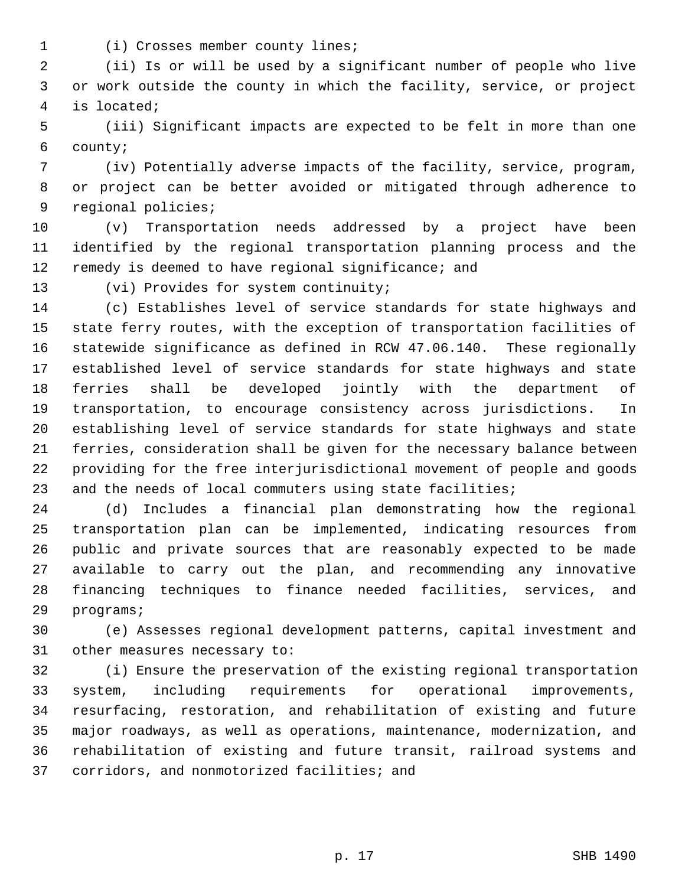1 (i) Crosses member county lines;

 2 (ii) Is or will be used by a significant number of people who live 3 or work outside the county in which the facility, service, or project 4 is located;

 5 (iii) Significant impacts are expected to be felt in more than one 6 county;

 7 (iv) Potentially adverse impacts of the facility, service, program, 8 or project can be better avoided or mitigated through adherence to 9 regional policies;

10 (v) Transportation needs addressed by a project have been 11 identified by the regional transportation planning process and the 12 remedy is deemed to have regional significance; and

13 (vi) Provides for system continuity;

14 (c) Establishes level of service standards for state highways and 15 state ferry routes, with the exception of transportation facilities of 16 statewide significance as defined in RCW 47.06.140. These regionally 17 established level of service standards for state highways and state 18 ferries shall be developed jointly with the department of 19 transportation, to encourage consistency across jurisdictions. In 20 establishing level of service standards for state highways and state 21 ferries, consideration shall be given for the necessary balance between 22 providing for the free interjurisdictional movement of people and goods 23 and the needs of local commuters using state facilities;

24 (d) Includes a financial plan demonstrating how the regional 25 transportation plan can be implemented, indicating resources from 26 public and private sources that are reasonably expected to be made 27 available to carry out the plan, and recommending any innovative 28 financing techniques to finance needed facilities, services, and 29 programs;

30 (e) Assesses regional development patterns, capital investment and 31 other measures necessary to:

32 (i) Ensure the preservation of the existing regional transportation 33 system, including requirements for operational improvements, 34 resurfacing, restoration, and rehabilitation of existing and future 35 major roadways, as well as operations, maintenance, modernization, and 36 rehabilitation of existing and future transit, railroad systems and 37 corridors, and nonmotorized facilities; and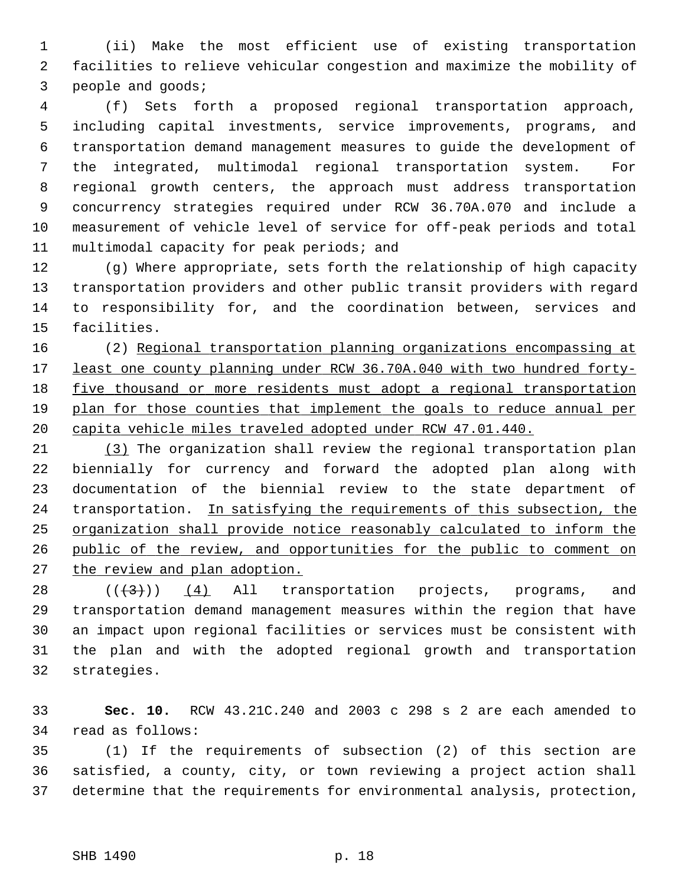1 (ii) Make the most efficient use of existing transportation 2 facilities to relieve vehicular congestion and maximize the mobility of 3 people and goods;

 4 (f) Sets forth a proposed regional transportation approach, 5 including capital investments, service improvements, programs, and 6 transportation demand management measures to guide the development of 7 the integrated, multimodal regional transportation system. For 8 regional growth centers, the approach must address transportation 9 concurrency strategies required under RCW 36.70A.070 and include a 10 measurement of vehicle level of service for off-peak periods and total 11 multimodal capacity for peak periods; and

12 (g) Where appropriate, sets forth the relationship of high capacity 13 transportation providers and other public transit providers with regard 14 to responsibility for, and the coordination between, services and 15 facilities.

16 (2) Regional transportation planning organizations encompassing at least one county planning under RCW 36.70A.040 with two hundred forty- five thousand or more residents must adopt a regional transportation plan for those counties that implement the goals to reduce annual per capita vehicle miles traveled adopted under RCW 47.01.440.

21 (3) The organization shall review the regional transportation plan 22 biennially for currency and forward the adopted plan along with 23 documentation of the biennial review to the state department of 24 transportation. In satisfying the requirements of this subsection, the 25 organization shall provide notice reasonably calculated to inform the 26 public of the review, and opportunities for the public to comment on 27 the review and plan adoption.

28  $((+3))$   $(4)$  All transportation projects, programs, and 29 transportation demand management measures within the region that have 30 an impact upon regional facilities or services must be consistent with 31 the plan and with the adopted regional growth and transportation 32 strategies.

33 **Sec. 10.** RCW 43.21C.240 and 2003 c 298 s 2 are each amended to 34 read as follows:

35 (1) If the requirements of subsection (2) of this section are 36 satisfied, a county, city, or town reviewing a project action shall 37 determine that the requirements for environmental analysis, protection,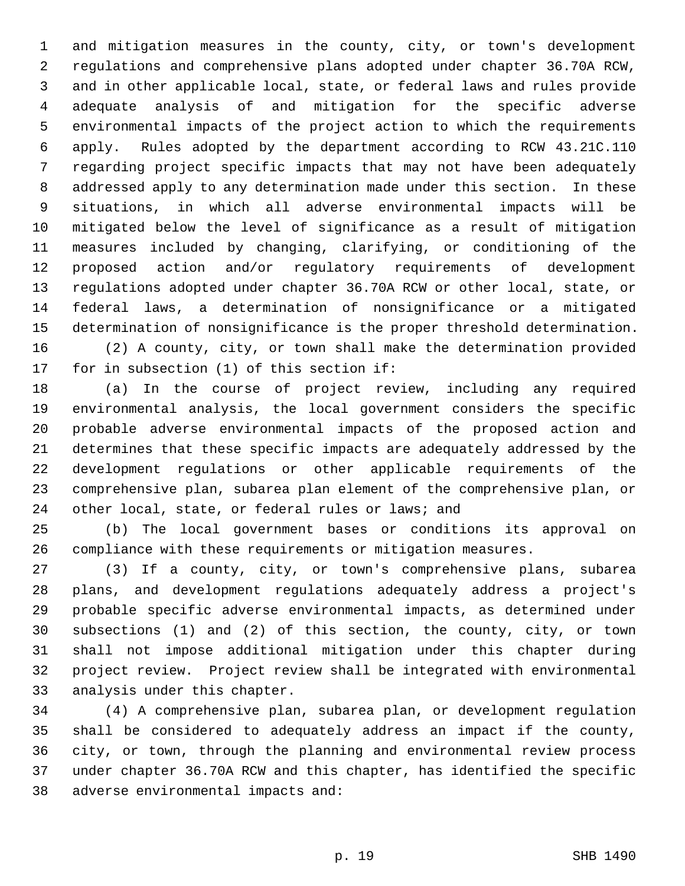1 and mitigation measures in the county, city, or town's development 2 regulations and comprehensive plans adopted under chapter 36.70A RCW, 3 and in other applicable local, state, or federal laws and rules provide 4 adequate analysis of and mitigation for the specific adverse 5 environmental impacts of the project action to which the requirements 6 apply. Rules adopted by the department according to RCW 43.21C.110 7 regarding project specific impacts that may not have been adequately 8 addressed apply to any determination made under this section. In these 9 situations, in which all adverse environmental impacts will be 10 mitigated below the level of significance as a result of mitigation 11 measures included by changing, clarifying, or conditioning of the 12 proposed action and/or regulatory requirements of development 13 regulations adopted under chapter 36.70A RCW or other local, state, or 14 federal laws, a determination of nonsignificance or a mitigated 15 determination of nonsignificance is the proper threshold determination. 16 (2) A county, city, or town shall make the determination provided 17 for in subsection (1) of this section if:

18 (a) In the course of project review, including any required 19 environmental analysis, the local government considers the specific 20 probable adverse environmental impacts of the proposed action and 21 determines that these specific impacts are adequately addressed by the 22 development regulations or other applicable requirements of the 23 comprehensive plan, subarea plan element of the comprehensive plan, or 24 other local, state, or federal rules or laws; and

25 (b) The local government bases or conditions its approval on 26 compliance with these requirements or mitigation measures.

27 (3) If a county, city, or town's comprehensive plans, subarea 28 plans, and development regulations adequately address a project's 29 probable specific adverse environmental impacts, as determined under 30 subsections (1) and (2) of this section, the county, city, or town 31 shall not impose additional mitigation under this chapter during 32 project review. Project review shall be integrated with environmental 33 analysis under this chapter.

34 (4) A comprehensive plan, subarea plan, or development regulation 35 shall be considered to adequately address an impact if the county, 36 city, or town, through the planning and environmental review process 37 under chapter 36.70A RCW and this chapter, has identified the specific 38 adverse environmental impacts and: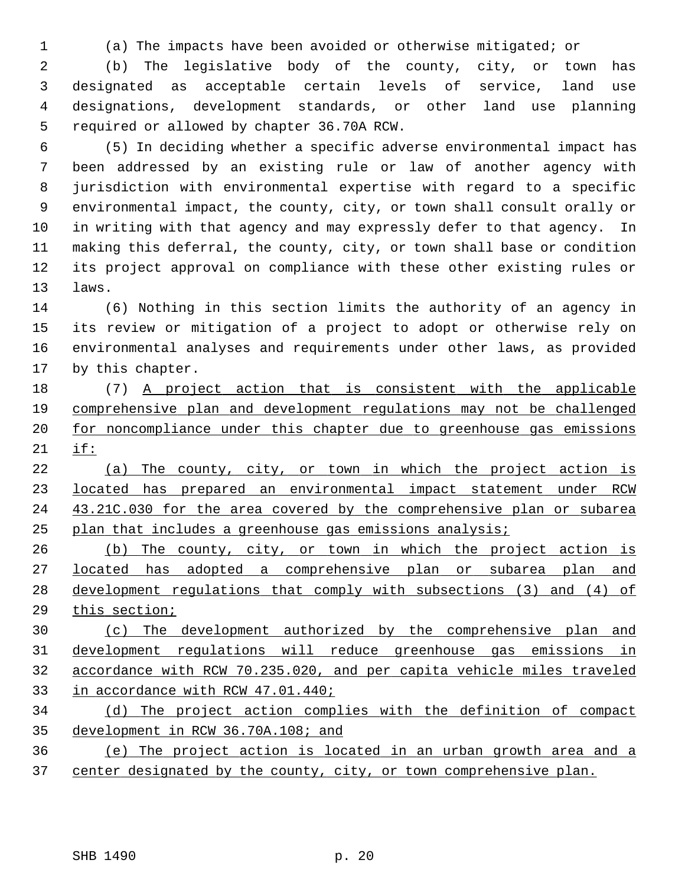1 (a) The impacts have been avoided or otherwise mitigated; or

 2 (b) The legislative body of the county, city, or town has 3 designated as acceptable certain levels of service, land use 4 designations, development standards, or other land use planning 5 required or allowed by chapter 36.70A RCW.

 6 (5) In deciding whether a specific adverse environmental impact has 7 been addressed by an existing rule or law of another agency with 8 jurisdiction with environmental expertise with regard to a specific 9 environmental impact, the county, city, or town shall consult orally or 10 in writing with that agency and may expressly defer to that agency. In 11 making this deferral, the county, city, or town shall base or condition 12 its project approval on compliance with these other existing rules or 13 laws.

14 (6) Nothing in this section limits the authority of an agency in 15 its review or mitigation of a project to adopt or otherwise rely on 16 environmental analyses and requirements under other laws, as provided 17 by this chapter.

18 (7) A project action that is consistent with the applicable 19 comprehensive plan and development regulations may not be challenged 20 for noncompliance under this chapter due to greenhouse gas emissions 21 if:

 (a) The county, city, or town in which the project action is located has prepared an environmental impact statement under RCW 43.21C.030 for the area covered by the comprehensive plan or subarea plan that includes a greenhouse gas emissions analysis;

 (b) The county, city, or town in which the project action is located has adopted a comprehensive plan or subarea plan and development regulations that comply with subsections (3) and (4) of this section;

 (c) The development authorized by the comprehensive plan and development regulations will reduce greenhouse gas emissions in accordance with RCW 70.235.020, and per capita vehicle miles traveled in accordance with RCW 47.01.440;

34 (d) The project action complies with the definition of compact 35 development in RCW 36.70A.108; and

36 (e) The project action is located in an urban growth area and a 37 center designated by the county, city, or town comprehensive plan.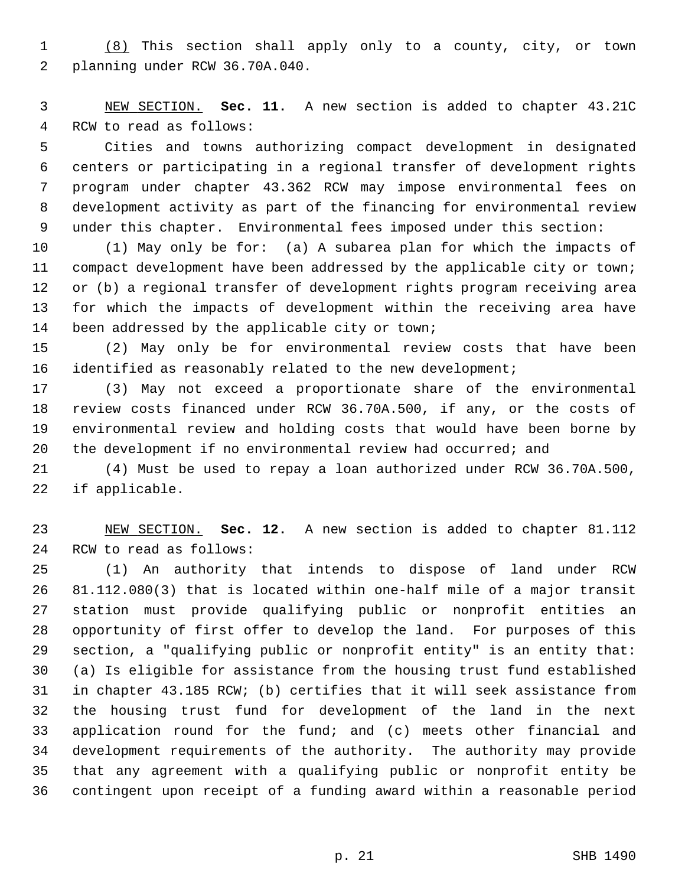1 (8) This section shall apply only to a county, city, or town 2 planning under RCW 36.70A.040.

 3 NEW SECTION. **Sec. 11.** A new section is added to chapter 43.21C 4 RCW to read as follows:

 5 Cities and towns authorizing compact development in designated 6 centers or participating in a regional transfer of development rights 7 program under chapter 43.362 RCW may impose environmental fees on 8 development activity as part of the financing for environmental review 9 under this chapter. Environmental fees imposed under this section:

10 (1) May only be for: (a) A subarea plan for which the impacts of 11 compact development have been addressed by the applicable city or town; 12 or (b) a regional transfer of development rights program receiving area 13 for which the impacts of development within the receiving area have 14 been addressed by the applicable city or town;

15 (2) May only be for environmental review costs that have been 16 identified as reasonably related to the new development;

17 (3) May not exceed a proportionate share of the environmental 18 review costs financed under RCW 36.70A.500, if any, or the costs of 19 environmental review and holding costs that would have been borne by 20 the development if no environmental review had occurred; and

21 (4) Must be used to repay a loan authorized under RCW 36.70A.500, 22 if applicable.

23 NEW SECTION. **Sec. 12.** A new section is added to chapter 81.112 24 RCW to read as follows:

25 (1) An authority that intends to dispose of land under RCW 26 81.112.080(3) that is located within one-half mile of a major transit 27 station must provide qualifying public or nonprofit entities an 28 opportunity of first offer to develop the land. For purposes of this 29 section, a "qualifying public or nonprofit entity" is an entity that: 30 (a) Is eligible for assistance from the housing trust fund established 31 in chapter 43.185 RCW; (b) certifies that it will seek assistance from 32 the housing trust fund for development of the land in the next 33 application round for the fund; and (c) meets other financial and 34 development requirements of the authority. The authority may provide 35 that any agreement with a qualifying public or nonprofit entity be 36 contingent upon receipt of a funding award within a reasonable period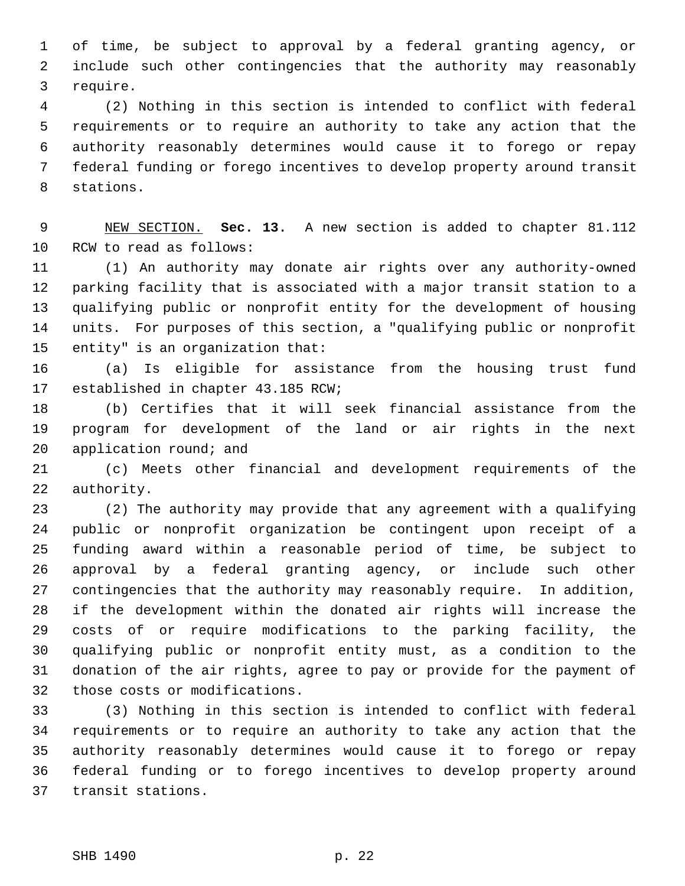1 of time, be subject to approval by a federal granting agency, or 2 include such other contingencies that the authority may reasonably 3 require.

 4 (2) Nothing in this section is intended to conflict with federal 5 requirements or to require an authority to take any action that the 6 authority reasonably determines would cause it to forego or repay 7 federal funding or forego incentives to develop property around transit 8 stations.

 9 NEW SECTION. **Sec. 13.** A new section is added to chapter 81.112 10 RCW to read as follows:

11 (1) An authority may donate air rights over any authority-owned 12 parking facility that is associated with a major transit station to a 13 qualifying public or nonprofit entity for the development of housing 14 units. For purposes of this section, a "qualifying public or nonprofit 15 entity" is an organization that:

16 (a) Is eligible for assistance from the housing trust fund 17 established in chapter 43.185 RCW;

18 (b) Certifies that it will seek financial assistance from the 19 program for development of the land or air rights in the next 20 application round; and

21 (c) Meets other financial and development requirements of the 22 authority.

23 (2) The authority may provide that any agreement with a qualifying 24 public or nonprofit organization be contingent upon receipt of a 25 funding award within a reasonable period of time, be subject to 26 approval by a federal granting agency, or include such other 27 contingencies that the authority may reasonably require. In addition, 28 if the development within the donated air rights will increase the 29 costs of or require modifications to the parking facility, the 30 qualifying public or nonprofit entity must, as a condition to the 31 donation of the air rights, agree to pay or provide for the payment of 32 those costs or modifications.

33 (3) Nothing in this section is intended to conflict with federal 34 requirements or to require an authority to take any action that the 35 authority reasonably determines would cause it to forego or repay 36 federal funding or to forego incentives to develop property around 37 transit stations.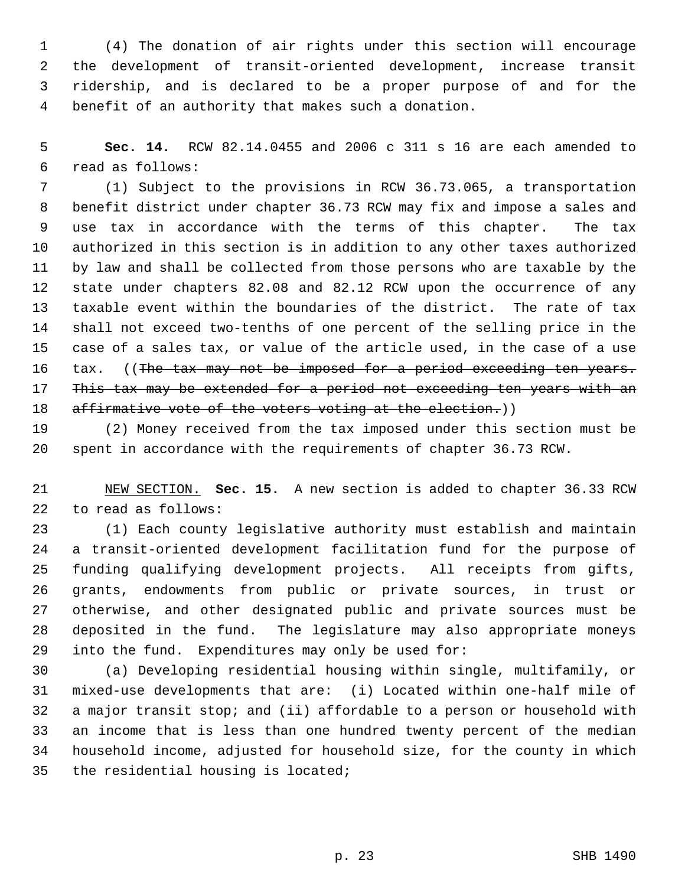1 (4) The donation of air rights under this section will encourage 2 the development of transit-oriented development, increase transit 3 ridership, and is declared to be a proper purpose of and for the 4 benefit of an authority that makes such a donation.

 5 **Sec. 14.** RCW 82.14.0455 and 2006 c 311 s 16 are each amended to 6 read as follows:

 7 (1) Subject to the provisions in RCW 36.73.065, a transportation 8 benefit district under chapter 36.73 RCW may fix and impose a sales and 9 use tax in accordance with the terms of this chapter. The tax 10 authorized in this section is in addition to any other taxes authorized 11 by law and shall be collected from those persons who are taxable by the 12 state under chapters 82.08 and 82.12 RCW upon the occurrence of any 13 taxable event within the boundaries of the district. The rate of tax 14 shall not exceed two-tenths of one percent of the selling price in the 15 case of a sales tax, or value of the article used, in the case of a use 16 tax. ((The tax may not be imposed for a period exceeding ten years. 17 This tax may be extended for a period not exceeding ten years with an 18 affirmative vote of the voters voting at the election.))

19 (2) Money received from the tax imposed under this section must be 20 spent in accordance with the requirements of chapter 36.73 RCW.

21 NEW SECTION. **Sec. 15.** A new section is added to chapter 36.33 RCW 22 to read as follows:

23 (1) Each county legislative authority must establish and maintain 24 a transit-oriented development facilitation fund for the purpose of 25 funding qualifying development projects. All receipts from gifts, 26 grants, endowments from public or private sources, in trust or 27 otherwise, and other designated public and private sources must be 28 deposited in the fund. The legislature may also appropriate moneys 29 into the fund. Expenditures may only be used for:

30 (a) Developing residential housing within single, multifamily, or 31 mixed-use developments that are: (i) Located within one-half mile of 32 a major transit stop; and (ii) affordable to a person or household with 33 an income that is less than one hundred twenty percent of the median 34 household income, adjusted for household size, for the county in which 35 the residential housing is located;